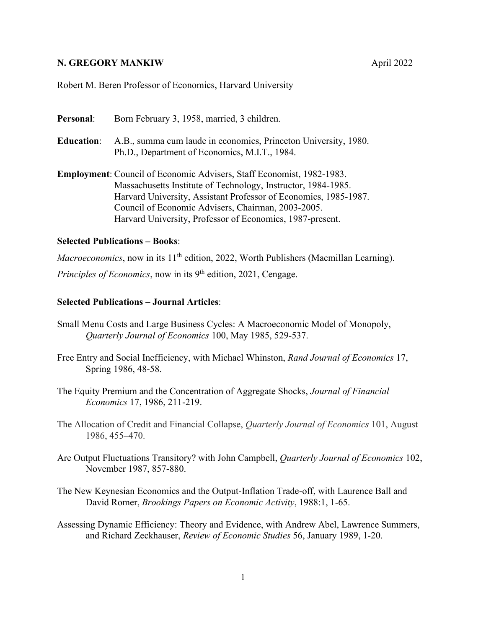## **N. GREGORY MANKIW**  April 2022

Robert M. Beren Professor of Economics, Harvard University

Personal: Born February 3, 1958, married, 3 children. **Education**: A.B., summa cum laude in economics, Princeton University, 1980. Ph.D., Department of Economics, M.I.T., 1984.

**Employment**: Council of Economic Advisers, Staff Economist, 1982-1983. Massachusetts Institute of Technology, Instructor, 1984-1985. Harvard University, Assistant Professor of Economics, 1985-1987. Council of Economic Advisers, Chairman, 2003-2005. Harvard University, Professor of Economics, 1987-present.

## **Selected Publications – Books**:

*Macroeconomics*, now in its 11<sup>th</sup> edition, 2022, Worth Publishers (Macmillan Learning).

*Principles of Economics*, now in its 9<sup>th</sup> edition, 2021, Cengage.

## **Selected Publications – Journal Articles**:

- Small Menu Costs and Large Business Cycles: A Macroeconomic Model of Monopoly, *Quarterly Journal of Economics* 100, May 1985, 529-537.
- Free Entry and Social Inefficiency, with Michael Whinston, *Rand Journal of Economics* 17, Spring 1986, 48-58.
- The Equity Premium and the Concentration of Aggregate Shocks, *Journal of Financial Economics* 17, 1986, 211-219.
- The Allocation of Credit and Financial Collapse, *Quarterly Journal of Economics* 101, August 1986, 455–470.
- Are Output Fluctuations Transitory? with John Campbell, *Quarterly Journal of Economics* 102, November 1987, 857-880.
- The New Keynesian Economics and the Output-Inflation Trade-off, with Laurence Ball and David Romer, *Brookings Papers on Economic Activity*, 1988:1, 1-65.
- Assessing Dynamic Efficiency: Theory and Evidence, with Andrew Abel, Lawrence Summers, and Richard Zeckhauser, *Review of Economic Studies* 56, January 1989, 1-20.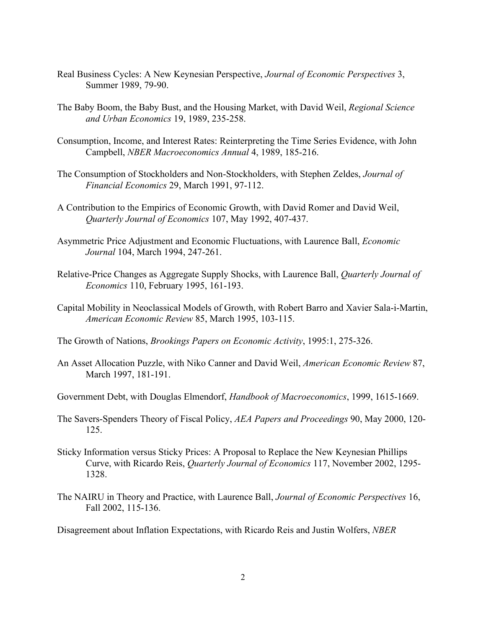- Real Business Cycles: A New Keynesian Perspective, *Journal of Economic Perspectives* 3, Summer 1989, 79-90.
- The Baby Boom, the Baby Bust, and the Housing Market, with David Weil, *Regional Science and Urban Economics* 19, 1989, 235-258.
- Consumption, Income, and Interest Rates: Reinterpreting the Time Series Evidence, with John Campbell, *NBER Macroeconomics Annual* 4, 1989, 185-216.
- The Consumption of Stockholders and Non-Stockholders, with Stephen Zeldes, *Journal of Financial Economics* 29, March 1991, 97-112.
- A Contribution to the Empirics of Economic Growth, with David Romer and David Weil, *Quarterly Journal of Economics* 107, May 1992, 407-437.
- Asymmetric Price Adjustment and Economic Fluctuations, with Laurence Ball, *Economic Journal* 104, March 1994, 247-261.
- Relative-Price Changes as Aggregate Supply Shocks, with Laurence Ball, *Quarterly Journal of Economics* 110, February 1995, 161-193.
- Capital Mobility in Neoclassical Models of Growth, with Robert Barro and Xavier Sala-i-Martin, *American Economic Review* 85, March 1995, 103-115.
- The Growth of Nations, *Brookings Papers on Economic Activity*, 1995:1, 275-326.
- An Asset Allocation Puzzle, with Niko Canner and David Weil, *American Economic Review* 87, March 1997, 181-191.
- Government Debt, with Douglas Elmendorf, *Handbook of Macroeconomics*, 1999, 1615-1669.
- The Savers-Spenders Theory of Fiscal Policy, *AEA Papers and Proceedings* 90, May 2000, 120- 125.
- Sticky Information versus Sticky Prices: A Proposal to Replace the New Keynesian Phillips Curve, with Ricardo Reis, *Quarterly Journal of Economics* 117, November 2002, 1295- 1328.
- The NAIRU in Theory and Practice, with Laurence Ball, *Journal of Economic Perspectives* 16, Fall 2002, 115-136.

Disagreement about Inflation Expectations, with Ricardo Reis and Justin Wolfers, *NBER*